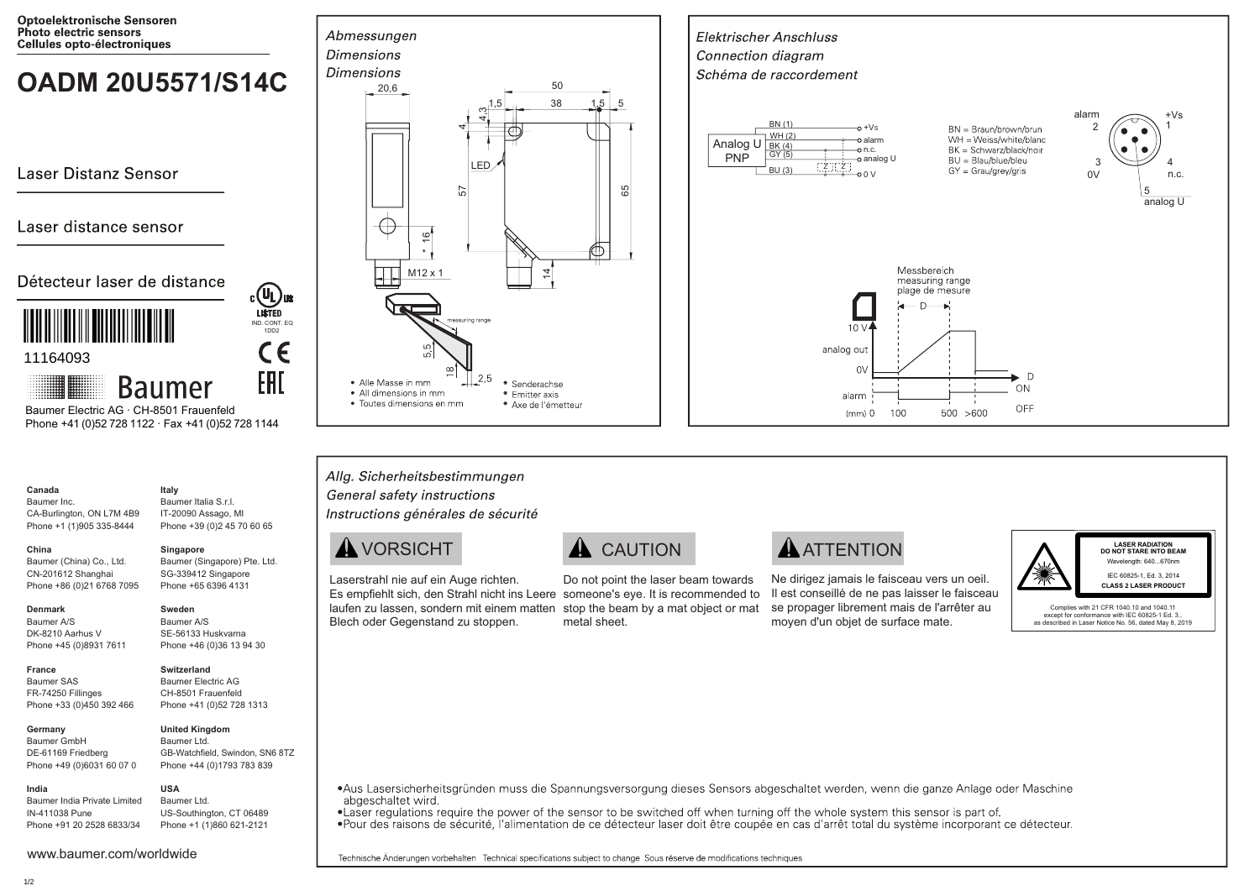**Optoelektronische Sensoren** Photo electric sensors Cellules opto-électroniques

# **OADM 20U5571/S14C**  $\int_{20.6}^{Dimension}$

Laser Distanz Sensor

### Laser distance sensor

### Détecteur laser de distance



**Baumer** Baumer Electric AG · CH-8501 Frauenfeld Phone +41 (0)52 728 1122 · Fax +41 (0)52 728 1144

#### **Canada** Baumer Inc.

CA-Burlington, ON L7M 4B9 Phone +1 (1)905 335-8444 Baumer Italia S.r.l. IT-20090 Assago, MI Phone +39 (0)2 45 70 60 65

**Italy**

**Singapore**

IND. CONT. EQ 1DD2

CE

ERI

COL US

**Sweden** Baumer A/S SE-56133 Huskvarna Phone +46 (0)36 13 94 30

#### **China**

Baumer (China) Co., Ltd. CN-201612 Shanghai Phone +86 (0)21 6768 7095 Baumer (Singapore) Pte. Ltd. SG-339412 Singapore Phone +65 6396 4131

#### **Denmark**

**France** Baumer SAS

**India**

Baumer A/S DK-8210 Aarhus V Phone +45 (0)8931 7611

#### **Switzerland**

FR-74250 Fillinges Phone +33 (0)450 392 466 Baumer Electric AG CH-8501 Frauenfeld Phone +41 (0)52 728 1313

**USA**

**Germany**  Baumer GmbH DE-61169 Friedberg Phone +49 (0)6031 60 07 0

#### Baumer Ltd. GB-Watchfield, Swindon, SN6 8TZ Phone +44 (0)1793 783 839

**United Kingdom**

Baumer India Private Limited IN-411038 Pune Phone +91 20 2528 6833/34 Baumer Ltd. US-Southington, CT 06489 Phone +1 (1)860 621-2121







Laserstrahl nie auf ein Auge richten. Es empfiehlt sich, den Strahl nicht ins Leere someone's eye. It is recommended to laufen zu lassen, sondern mit einem matten stop the beam by a mat object or mat Blech oder Gegenstand zu stoppen.

## A VORSICHT **A** CAUTION **A ATTENTION**

Do not point the laser beam towards metal sheet.

Ne dirigez jamais le faisceau vers un oeil. Il est conseillé de ne pas laisser le faisceau se propager librement mais de l'arrêter au moyen d'un objet de surface mate.

 $0<sup>0</sup>$ 

 $10<sup>1</sup>$ 

alarm

 $(mm)$   $\Omega$ 

100

analog out  $\Omega$  Messbereich

measuring range

plage de mesure

 $500 > 600$ 

 $-0 + V \approx$ alarm

Z Z

 $\overline{GY(5)}$   $\overline{GY(5)}$   $\overline{O(1)}$   $\overline{O(1)}$   $\overline{O(1)}$   $\overline{O(1)}$ 

WH (2)

Analog U PNP

BN (1) BK (4)

**Elektrischer Anschluss** 

Connection diagram Schéma de raccordement

BU (3)



 $\Gamma$ 

 $\bigcap$ 

OFF

**LASER RADIATION DO NOT STARE INTO BEAM** Wavelength: 640 670nm IEC 60825-1, Ed. 3, 2014 **CLASS 2 LASER PRODUCT**

alarm  $+Vs$ 

 $\Omega$ 

BN = Braun/brown/brun WH = Weiss/white/blanc  $RK = Schwarz/hlack/noir$  $BU = Blau/blue/bleu$ 

GY = Grau/grey/gris

3  $0V$  1

4 n.c.

5 analog U

Complies with 21 CFR 1040.10 and 1040.11 except for conformance with IEC 60825-1 Ed. 3. as described in Laser Notice No. 56, dated May 8, 2019

•Aus Lasersicherheitsgründen muss die Spannungsversorgung dieses Sensors abgeschaltet werden, wenn die ganze Anlage oder Maschine abgeschaltet wird.

. Laser regulations require the power of the sensor to be switched off when turning off the whole system this sensor is part of •Pour des raisons de sécurité, l'alimentation de ce détecteur laser doit être coupée en cas d'arrêt total du système incorporant ce détecteur.

Technische Änderungen vorbehalten Technical specifications subject to change Sous réserve de modifications techniques